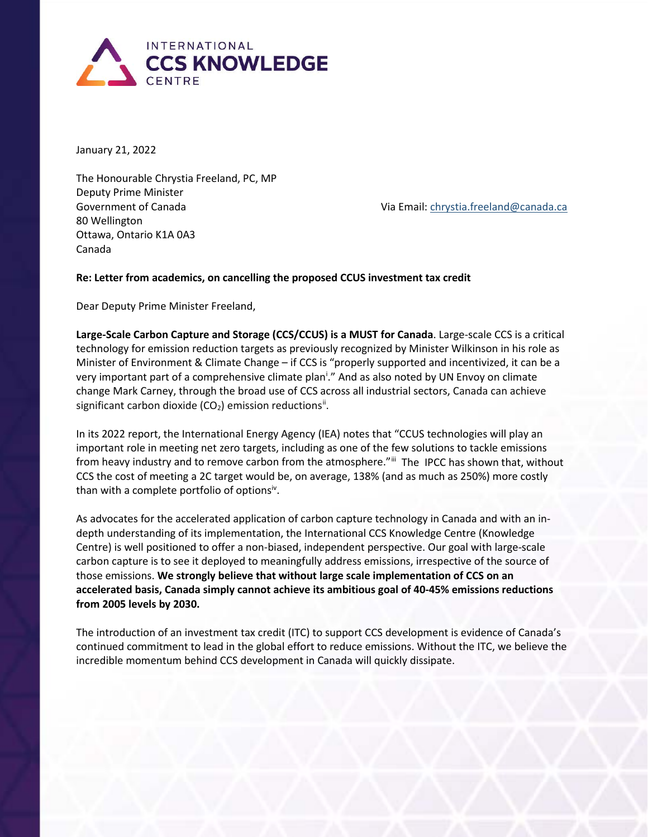

January 21, 2022

The Honourable Chrystia Freeland, PC, MP Deputy Prime Minister Government of Canada Via Email: [chrystia.freeland@canada.ca](mailto:chrystia.freeland@canada.ca) 80 Wellington Ottawa, Ontario K1A 0A3 Canada

## **Re: Letter from academics, on cancelling the proposed CCUS investment tax credit**

Dear Deputy Prime Minister Freeland,

**Large-Scale Carbon Capture and Storage (CCS/CCUS) is a MUST for Canada**. Large-scale CCS is a critical technology for emission reduction targets as previously recognized by Minister Wilkinson in his role as Minister of Environment & Climate Change – if CCS is "properly supported and incentivized, it can be a very [i](#page-1-0)mportant part of a comprehensive climate plan<sup>i</sup>." And as also noted by UN Envoy on climate change Mark Carney, through the broad use of CCS across all industrial sectors, Canada can achieve significant carbon dioxide (CO<sub>2</sub>) emission reductions<sup>[ii](#page-1-1)</sup>.

In its 2022 report, the International Energy Agency (IEA) notes that "CCUS technologies will play an important role in meeting net zero targets, including as one of the few solutions to tackle emissions from heavy industry and to remove carbon from the atmosphere."<sup>[iii](#page-1-2)</sup> The IPCC has shown that, without CCS the cost of meeting a 2C target would be, on average, 138% (and as much as 250%) more costly than with a complete portfolio of options<sup>iv</sup>.

As advocates for the accelerated application of carbon capture technology in Canada and with an indepth understanding of its implementation, the International CCS Knowledge Centre (Knowledge Centre) is well positioned to offer a non-biased, independent perspective. Our goal with large-scale carbon capture is to see it deployed to meaningfully address emissions, irrespective of the source of those emissions. **We strongly believe that without large scale implementation of CCS on an accelerated basis, Canada simply cannot achieve its ambitious goal of 40-45% emissions reductions from 2005 levels by 2030.**

The introduction of an investment tax credit (ITC) to support CCS development is evidence of Canada's continued commitment to lead in the global effort to reduce emissions. Without the ITC, we believe the incredible momentum behind CCS development in Canada will quickly dissipate.